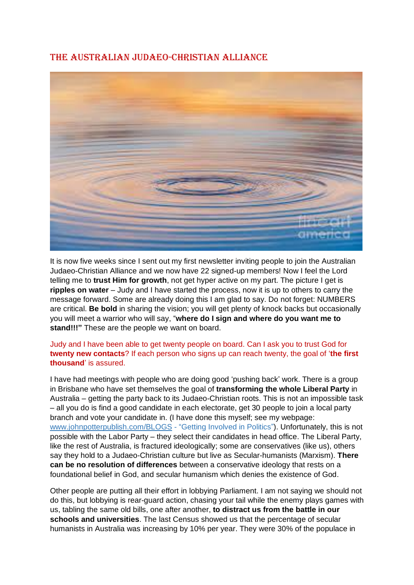## THE AUSTRALIAN JUDAEO-CHRISTIAN ALLIANCE



It is now five weeks since I sent out my first newsletter inviting people to join the Australian Judaeo-Christian Alliance and we now have 22 signed-up members! Now I feel the Lord telling me to **trust Him for growth**, not get hyper active on my part. The picture I get is **ripples on water** – Judy and I have started the process, now it is up to others to carry the message forward. Some are already doing this I am glad to say. Do not forget: NUMBERS are critical. **Be bold** in sharing the vision; you will get plenty of knock backs but occasionally you will meet a warrior who will say, "**where do I sign and where do you want me to stand!!!"** These are the people we want on board.

## Judy and I have been able to get twenty people on board. Can I ask you to trust God for **twenty new contacts**? If each person who signs up can reach twenty, the goal of '**the first thousand**' is assured.

I have had meetings with people who are doing good 'pushing back' work. There is a group in Brisbane who have set themselves the goal of **transforming the whole Liberal Party** in Australia – getting the party back to its Judaeo-Christian roots. This is not an impossible task – all you do is find a good candidate in each electorate, get 30 people to join a local party branch and vote your candidate in. (I have done this myself; see my webpage: [www.johnpotterpublish.com/BLOGS](http://www.johnpotterpublish.com/BLOGS) - "Getting Involved in Politics"). Unfortunately, this is not possible with the Labor Party – they select their candidates in head office. The Liberal Party, like the rest of Australia, is fractured ideologically; some are conservatives (like us), others say they hold to a Judaeo-Christian culture but live as Secular-humanists (Marxism). **There can be no resolution of differences** between a conservative ideology that rests on a foundational belief in God, and secular humanism which denies the existence of God.

Other people are putting all their effort in lobbying Parliament. I am not saying we should not do this, but lobbying is rear-guard action, chasing your tail while the enemy plays games with us, tabling the same old bills, one after another, **to distract us from the battle in our schools and universities**. The last Census showed us that the percentage of secular humanists in Australia was increasing by 10% per year. They were 30% of the populace in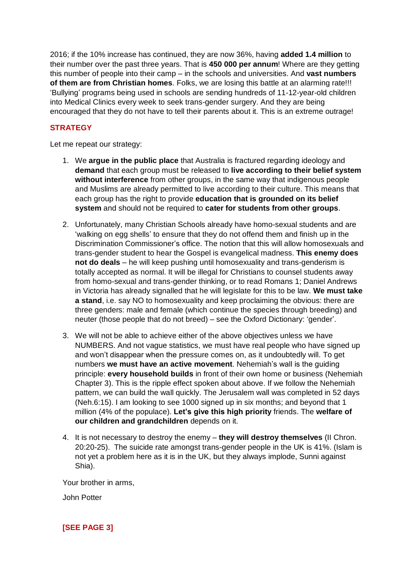2016; if the 10% increase has continued, they are now 36%, having **added 1.4 million** to their number over the past three years. That is **450 000 per annum**! Where are they getting this number of people into their camp – in the schools and universities. And **vast numbers of them are from Christian homes**. Folks, we are losing this battle at an alarming rate!!! 'Bullying' programs being used in schools are sending hundreds of 11-12-year-old children into Medical Clinics every week to seek trans-gender surgery. And they are being encouraged that they do not have to tell their parents about it. This is an extreme outrage!

## **STRATEGY**

Let me repeat our strategy:

- 1. We **argue in the public place** that Australia is fractured regarding ideology and **demand** that each group must be released to **live according to their belief system without interference** from other groups, in the same way that indigenous people and Muslims are already permitted to live according to their culture. This means that each group has the right to provide **education that is grounded on its belief system** and should not be required to **cater for students from other groups**.
- 2. Unfortunately, many Christian Schools already have homo-sexual students and are 'walking on egg shells' to ensure that they do not offend them and finish up in the Discrimination Commissioner's office. The notion that this will allow homosexuals and trans-gender student to hear the Gospel is evangelical madness. **This enemy does not do deals** – he will keep pushing until homosexuality and trans-genderism is totally accepted as normal. It will be illegal for Christians to counsel students away from homo-sexual and trans-gender thinking, or to read Romans 1; Daniel Andrews in Victoria has already signalled that he will legislate for this to be law. **We must take a stand**, i.e. say NO to homosexuality and keep proclaiming the obvious: there are three genders: male and female (which continue the species through breeding) and neuter (those people that do not breed) – see the Oxford Dictionary: 'gender'.
- 3. We will not be able to achieve either of the above objectives unless we have NUMBERS. And not vague statistics, we must have real people who have signed up and won't disappear when the pressure comes on, as it undoubtedly will. To get numbers **we must have an active movement**. Nehemiah's wall is the guiding principle: **every household builds** in front of their own home or business (Nehemiah Chapter 3). This is the ripple effect spoken about above. If we follow the Nehemiah pattern, we can build the wall quickly. The Jerusalem wall was completed in 52 days (Neh.6:15). I am looking to see 1000 signed up in six months; and beyond that 1 million (4% of the populace). **Let's give this high priority** friends. The **welfare of our children and grandchildren** depends on it.
- 4. It is not necessary to destroy the enemy **they will destroy themselves** (II Chron. 20:20-25). The suicide rate amongst trans-gender people in the UK is 41%. (Islam is not yet a problem here as it is in the UK, but they always implode, Sunni against Shia).

Your brother in arms,

John Potter

**[SEE PAGE 3]**